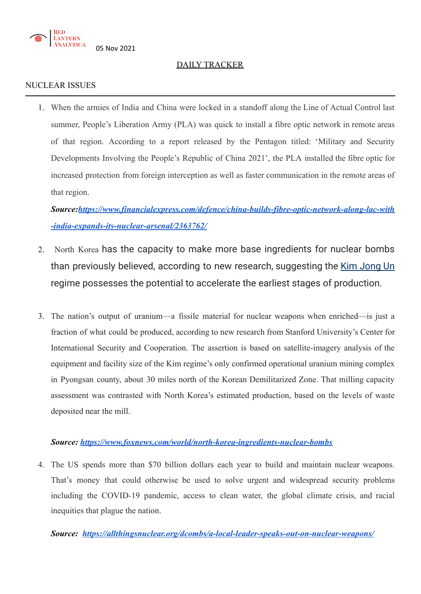

### DAILY TRACKER

### NUCLEAR ISSUES

1. When the armies of India and China were locked in a standoff along the Line of Actual Control last summer, People's Liberation Army (PLA) was quick to install a fibre optic network in remote areas of that region. According to a report released by the Pentagon titled: 'Military and Security Developments Involving the People's Republic of China 2021', the PLA installed the fibre optic for increased protection from foreign interception as well as faster communication in the remote areas of that region.

*Source:[https://www.financialexpress.com/defence/china-builds-fibre-optic-network-along-lac-with](https://www.financialexpress.com/defence/china-builds-fibre-optic-network-along-lac-with-india-expands-its-nuclear-arsenal/2363762/) [-india-expands-its-nuclear-arsenal/2363762/](https://www.financialexpress.com/defence/china-builds-fibre-optic-network-along-lac-with-india-expands-its-nuclear-arsenal/2363762/)*

- 2. North Korea has the capacity to make more base ingredients for nuclear bombs than previously believed, according to new research, suggesting the Kim [Jong](https://www.wsj.com/topics/person/kim-jong-un) Un regime possesses the potential to accelerate the earliest stages of production.
- 3. The nation's output of uranium—a fissile material for nuclear weapons when enriched—is just a fraction of what could be produced, according to new research from Stanford University's Center for International Security and Cooperation. The assertion is based on satellite-imagery analysis of the equipment and facility size of the Kim regime's only confirmed operational uranium mining complex in Pyongsan county, about 30 miles north of the Korean Demilitarized Zone. That milling capacity assessment was contrasted with North Korea's estimated production, based on the levels of waste deposited near the mill.

### *Source: <https://www.foxnews.com/world/north-korea-ingredients-nuclear-bombs>*

4. The US spends more than \$70 [billion](https://www.psr-la.org/nuclear-costs) dollars each year to build and maintain nuclear weapons. That's money that could otherwise be used to solve urgent and widespread security problems including the COVID-19 pandemic, access to clean water, the global climate crisis, and racial inequities that plague the nation.

*Source: <https://allthingsnuclear.org/dcombs/a-local-leader-speaks-out-on-nuclear-weapons/>*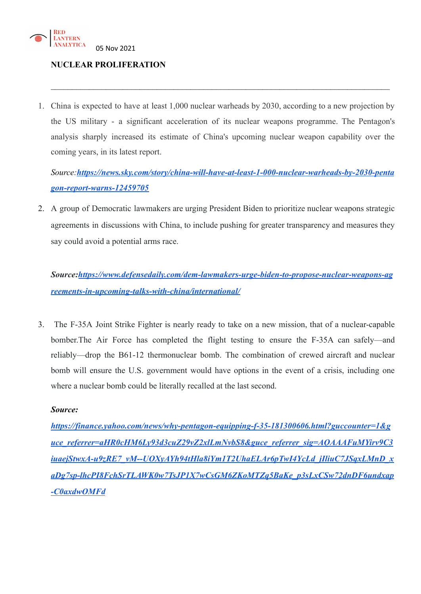

### **NUCLEAR PROLIFERATION**

1. China is expected to have at least 1,000 nuclear warheads by 2030, according to a new projection by the US military - a significant acceleration of its nuclear weapons programme. The Pentagon's analysis sharply increased its estimate of [China](https://news.sky.com/topic/china-5869)'s upcoming nuclear weapon capability over the coming years, in its latest report.

 $\mathcal{L}_\mathcal{L} = \mathcal{L}_\mathcal{L} = \mathcal{L}_\mathcal{L} = \mathcal{L}_\mathcal{L} = \mathcal{L}_\mathcal{L} = \mathcal{L}_\mathcal{L} = \mathcal{L}_\mathcal{L} = \mathcal{L}_\mathcal{L} = \mathcal{L}_\mathcal{L} = \mathcal{L}_\mathcal{L} = \mathcal{L}_\mathcal{L} = \mathcal{L}_\mathcal{L} = \mathcal{L}_\mathcal{L} = \mathcal{L}_\mathcal{L} = \mathcal{L}_\mathcal{L} = \mathcal{L}_\mathcal{L} = \mathcal{L}_\mathcal{L}$ 

*Source:[https://news.sky.com/story/china-will-have-at-least-1-000-nuclear-warheads-by-2030-penta](https://news.sky.com/story/china-will-have-at-least-1-000-nuclear-warheads-by-2030-pentagon-report-warns-12459705) [gon-report-warns-12459705](https://news.sky.com/story/china-will-have-at-least-1-000-nuclear-warheads-by-2030-pentagon-report-warns-12459705)*

2. A group of Democratic lawmakers are urging President Biden to prioritize nuclear weapons strategic agreements in discussions with China, to include pushing for greater transparency and measures they say could avoid a potential arms race.

*Source:[https://www.defensedaily.com/dem-lawmakers-urge-biden-to-propose-nuclear-weapons-ag](https://www.defensedaily.com/dem-lawmakers-urge-biden-to-propose-nuclear-weapons-agreements-in-upcoming-talks-with-china/international/) [reements-in-upcoming-talks-with-china/international/](https://www.defensedaily.com/dem-lawmakers-urge-biden-to-propose-nuclear-weapons-agreements-in-upcoming-talks-with-china/international/)*

3. The F-35A Joint Strike Fighter is nearly ready to take on a new mission, that of a nuclear-capable bomber.The Air Force has completed the flight testing to ensure the F-35A can safely—and reliably—drop the B61-12 thermonuclear bomb. The combination of crewed aircraft and nuclear bomb will ensure the U.S. government would have options in the event of a crisis, including one where a nuclear bomb could be literally recalled at the last second.

#### *Source:*

*[https://finance.yahoo.com/news/why-pentagon-equipping-f-35-181300606.html?guccounter=1&g](https://finance.yahoo.com/news/why-pentagon-equipping-f-35-181300606.html?guccounter=1&guce_referrer=aHR0cHM6Ly93d3cuZ29vZ2xlLmNvbS8&guce_referrer_sig=AQAAAFuMYirv9C3iuaejStwxA-u9zRE7_vM--UOXyAYh94tHla8iYm1T2UhaELAr6pTwI4YcLd_jIliuC7JSqxLMnD_xaDg7sp-lhcPI8FchSrTLAWK0w7TsJP1X7wCsGM6ZKoMTZq5BaKe_p3sLxCSw72dnDF6undxap-C0axdwOMFd) [uce\\_referrer=aHR0cHM6Ly93d3cuZ29vZ2xlLmNvbS8&guce\\_referrer\\_sig=AQAAAFuMYirv9C3](https://finance.yahoo.com/news/why-pentagon-equipping-f-35-181300606.html?guccounter=1&guce_referrer=aHR0cHM6Ly93d3cuZ29vZ2xlLmNvbS8&guce_referrer_sig=AQAAAFuMYirv9C3iuaejStwxA-u9zRE7_vM--UOXyAYh94tHla8iYm1T2UhaELAr6pTwI4YcLd_jIliuC7JSqxLMnD_xaDg7sp-lhcPI8FchSrTLAWK0w7TsJP1X7wCsGM6ZKoMTZq5BaKe_p3sLxCSw72dnDF6undxap-C0axdwOMFd) [iuaejStwxA-u9zRE7\\_vM--UOXyAYh94tHla8iYm1T2UhaELAr6pTwI4YcLd\\_jIliuC7JSqxLMnD\\_x](https://finance.yahoo.com/news/why-pentagon-equipping-f-35-181300606.html?guccounter=1&guce_referrer=aHR0cHM6Ly93d3cuZ29vZ2xlLmNvbS8&guce_referrer_sig=AQAAAFuMYirv9C3iuaejStwxA-u9zRE7_vM--UOXyAYh94tHla8iYm1T2UhaELAr6pTwI4YcLd_jIliuC7JSqxLMnD_xaDg7sp-lhcPI8FchSrTLAWK0w7TsJP1X7wCsGM6ZKoMTZq5BaKe_p3sLxCSw72dnDF6undxap-C0axdwOMFd) [aDg7sp-lhcPI8FchSrTLAWK0w7TsJP1X7wCsGM6ZKoMTZq5BaKe\\_p3sLxCSw72dnDF6undxap](https://finance.yahoo.com/news/why-pentagon-equipping-f-35-181300606.html?guccounter=1&guce_referrer=aHR0cHM6Ly93d3cuZ29vZ2xlLmNvbS8&guce_referrer_sig=AQAAAFuMYirv9C3iuaejStwxA-u9zRE7_vM--UOXyAYh94tHla8iYm1T2UhaELAr6pTwI4YcLd_jIliuC7JSqxLMnD_xaDg7sp-lhcPI8FchSrTLAWK0w7TsJP1X7wCsGM6ZKoMTZq5BaKe_p3sLxCSw72dnDF6undxap-C0axdwOMFd) [-C0axdwOMFd](https://finance.yahoo.com/news/why-pentagon-equipping-f-35-181300606.html?guccounter=1&guce_referrer=aHR0cHM6Ly93d3cuZ29vZ2xlLmNvbS8&guce_referrer_sig=AQAAAFuMYirv9C3iuaejStwxA-u9zRE7_vM--UOXyAYh94tHla8iYm1T2UhaELAr6pTwI4YcLd_jIliuC7JSqxLMnD_xaDg7sp-lhcPI8FchSrTLAWK0w7TsJP1X7wCsGM6ZKoMTZq5BaKe_p3sLxCSw72dnDF6undxap-C0axdwOMFd)*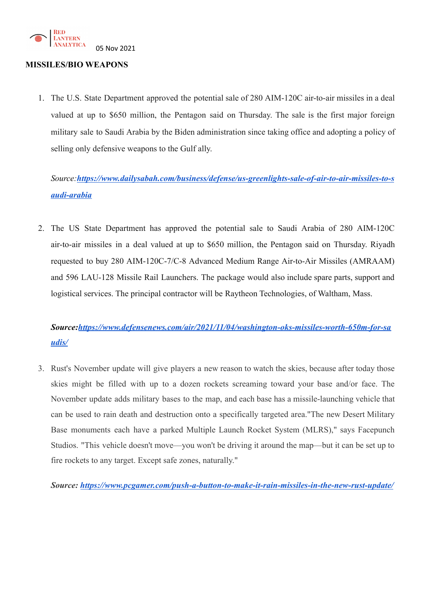

### **MISSILES/BIO WEAPONS**

1. The U.S. State Department approved the potential sale of 280 AIM-120C air-to-air missiles in a deal valued at up to \$650 million, the Pentagon said on Thursday. The sale is the first major foreign military sale to Saudi Arabia by the Biden administration since taking office and adopting a policy of selling only defensive weapons to the Gulf ally.

# *Source:[https://www.dailysabah.com/business/defense/us-greenlights-sale-of-air-to-air-missiles-to-s](https://www.dailysabah.com/business/defense/us-greenlights-sale-of-air-to-air-missiles-to-saudi-arabia) [audi-arabia](https://www.dailysabah.com/business/defense/us-greenlights-sale-of-air-to-air-missiles-to-saudi-arabia)*

2. The US State Department has approved the potential sale to Saudi [Arabia](https://www.defensenews.com/news/pentagon-congress/2021/09/13/us-pulls-missile-defenses-in-saudi-arabia-amid-yemen-attacks/) of 280 AIM-120C air-to-air missiles in a deal valued at up to \$650 million, the Pentagon said on Thursday. Riyadh requested to buy 280 AIM-120C-7/C-8 Advanced Medium Range Air-to-Air Missiles (AMRAAM) and 596 LAU-128 Missile Rail Launchers. The package would also include spare parts, support and logistical services. The principal contractor will be [Raytheon Technologies](https://www.defensenews.com/air/2021/10/26/raytheon-ceo-air-force-may-not-be-able-to-afford-new-f-35-engine/), of Waltham, Mass.

## *Source:[https://www.defensenews.com/air/2021/11/04/washington-oks-missiles-worth-650m-for-sa](https://www.defensenews.com/air/2021/11/04/washington-oks-missiles-worth-650m-for-saudis/) [udis/](https://www.defensenews.com/air/2021/11/04/washington-oks-missiles-worth-650m-for-saudis/)*

3. Rust's November update will give players a new reason to watch the skies, because after today those skies might be filled with up to a dozen rockets screaming toward your base and/or face. The November update adds military bases to the map, and each base has a missile-launching vehicle that can be used to rain death and destruction onto a specifically targeted area."The new Desert Military Base monuments each have a parked Multiple Launch Rocket System (MLRS)," says Facepunch Studios. "This vehicle doesn't move—you won't be driving it around the map—but it can be set up to fire rockets to any target. Except safe zones, naturally."

*Source: <https://www.pcgamer.com/push-a-button-to-make-it-rain-missiles-in-the-new-rust-update/>*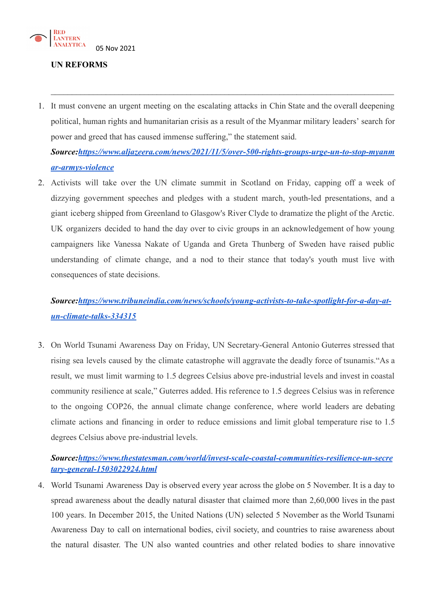

### **UN REFORMS**

1. It must convene an urgent meeting on the escalating attacks in Chin State and the overall deepening political, human rights and humanitarian crisis as a result of the Myanmar military leaders' search for power and greed that has caused immense suffering," the statement said.

 $\mathcal{L}_\mathcal{L} = \{ \mathcal{L}_\mathcal{L} = \{ \mathcal{L}_\mathcal{L} = \{ \mathcal{L}_\mathcal{L} = \{ \mathcal{L}_\mathcal{L} = \{ \mathcal{L}_\mathcal{L} = \{ \mathcal{L}_\mathcal{L} = \{ \mathcal{L}_\mathcal{L} = \{ \mathcal{L}_\mathcal{L} = \{ \mathcal{L}_\mathcal{L} = \{ \mathcal{L}_\mathcal{L} = \{ \mathcal{L}_\mathcal{L} = \{ \mathcal{L}_\mathcal{L} = \{ \mathcal{L}_\mathcal{L} = \{ \mathcal{L}_\mathcal{$ 

*Source:[https://www.aljazeera.com/news/2021/11/5/over-500-rights-groups-urge-un-to-stop-myanm](https://www.aljazeera.com/news/2021/11/5/over-500-rights-groups-urge-un-to-stop-myanmar-armys-violence) [ar-armys-violence](https://www.aljazeera.com/news/2021/11/5/over-500-rights-groups-urge-un-to-stop-myanmar-armys-violence)*

2. Activists will take over the UN climate summit in Scotland on Friday, capping off a week of dizzying government speeches and pledges with a student march, youth-led presentations, and a giant iceberg shipped from Greenland to Glasgow's River Clyde to dramatize the plight of the Arctic. UK organizers decided to hand the day over to civic groups in an acknowledgement of how young campaigners like Vanessa Nakate of Uganda and Greta Thunberg of Sweden have raised public understanding of climate change, and a nod to their stance that today's youth must live with consequences of state decisions.

## *Source:[https://www.tribuneindia.com/news/schools/young-activists-to-take-spotlight-for-a-day-at](https://www.tribuneindia.com/news/schools/young-activists-to-take-spotlight-for-a-day-at-un-climate-talks-334315)[un-climate-talks-334315](https://www.tribuneindia.com/news/schools/young-activists-to-take-spotlight-for-a-day-at-un-climate-talks-334315)*

3. On World Tsunami Awareness Day on Friday, UN Secretary-General Antonio Guterres stressed that rising sea levels caused by the climate catastrophe will aggravate the deadly force of tsunamis."As a result, we must limit warming to 1.5 degrees Celsius above pre-industrial levels and invest in coastal community resilience at scale," Guterres added. His reference to 1.5 degrees Celsius was in reference to the ongoing COP26, the annual climate change conference, where world leaders are debating climate actions and financing in order to reduce emissions and limit global temperature rise to 1.5 degrees Celsius above pre-industrial levels.

### *Source:[https://www.thestatesman.com/world/invest-scale-coastal-communities-resilience-un-secre](https://www.thestatesman.com/world/invest-scale-coastal-communities-resilience-un-secretary-general-1503022924.html) [tary-general-1503022924.html](https://www.thestatesman.com/world/invest-scale-coastal-communities-resilience-un-secretary-general-1503022924.html)*

4. World Tsunami Awareness Day is observed every year across the globe on 5 November. It is a day to spread awareness about the deadly natural disaster that claimed more than 2,60,000 lives in the past 100 years. In December 2015, the United Nations (UN) selected 5 [November](https://www.hindustantimes.com/world-news/on-world-tsunami-awareness-day-2021-un-calls-for-increased-understanding-of-threat-risk-reduction-101636081380867.html) as the World Tsunami [Awareness](https://www.hindustantimes.com/world-news/on-world-tsunami-awareness-day-2021-un-calls-for-increased-understanding-of-threat-risk-reduction-101636081380867.html) Day to call on international bodies, civil society, and countries to raise awareness about the natural disaster. The UN also wanted countries and other related bodies to share innovative